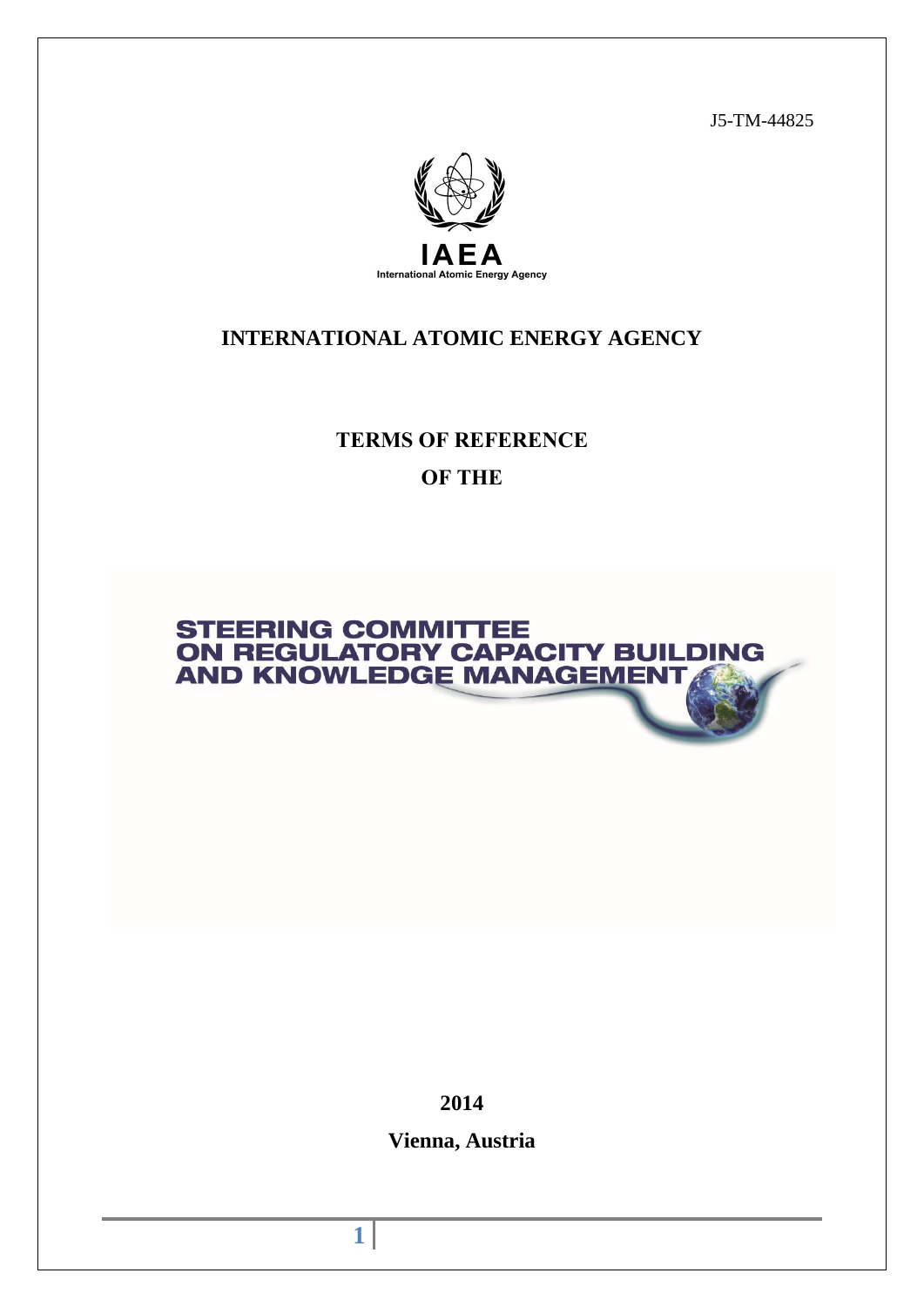J5-TM-44825



# **INTERNATIONAL ATOMIC ENERGY AGENCY**

**TERMS OF REFERENCE OF THE**



**2014**

**Vienna, Austria**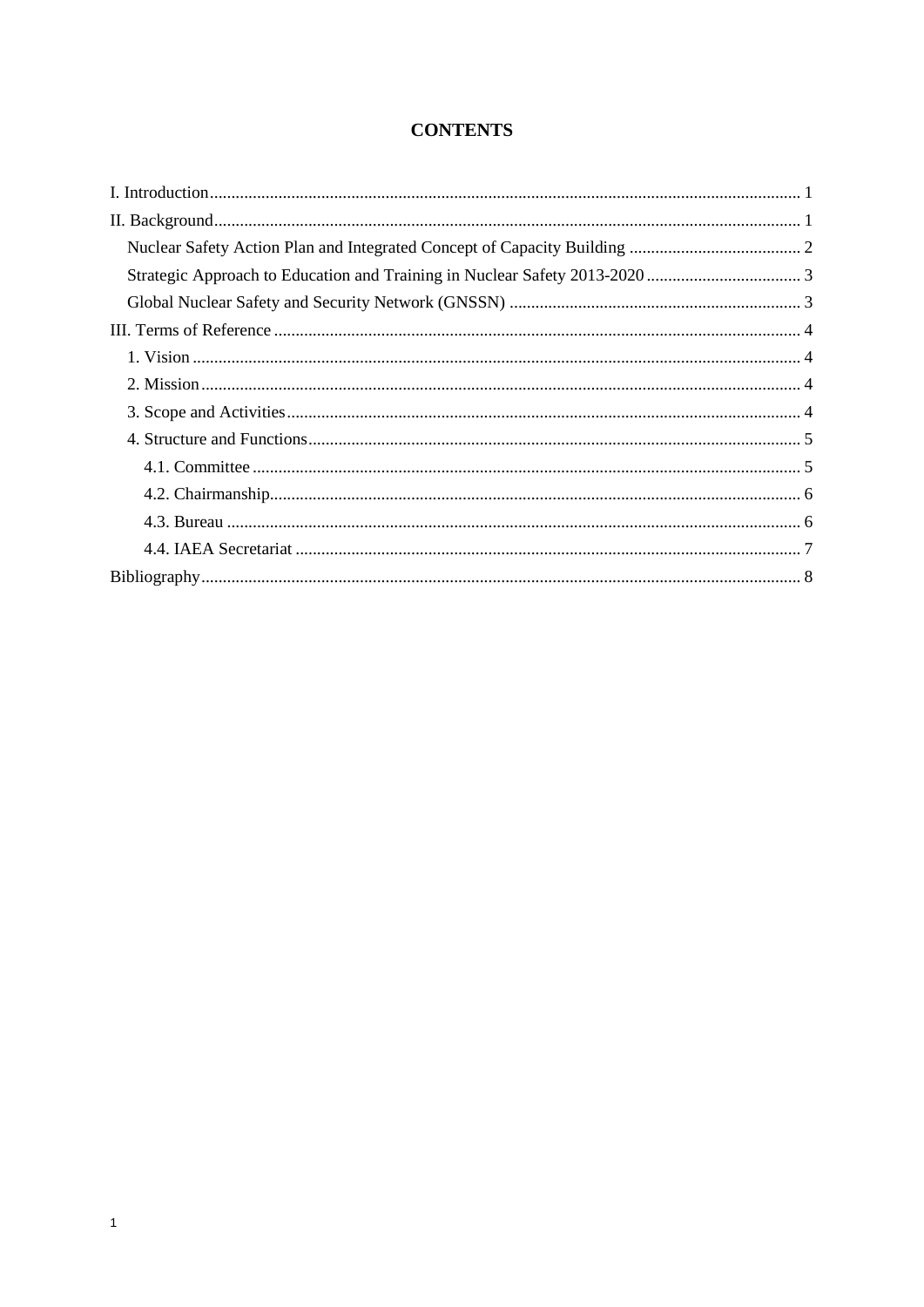## **CONTENTS**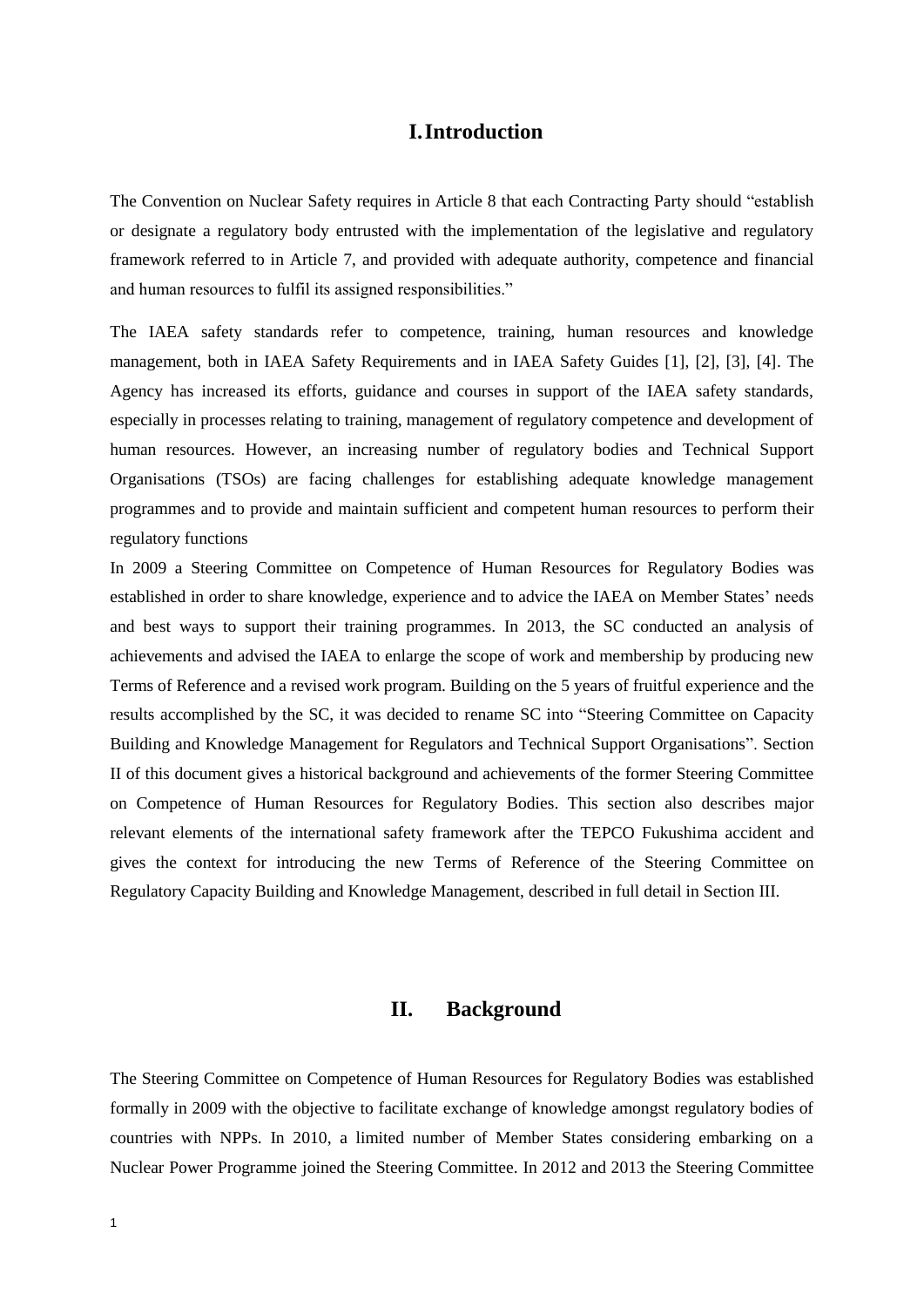## **I.Introduction**

<span id="page-4-0"></span>The Convention on Nuclear Safety requires in Article 8 that each Contracting Party should "establish or designate a regulatory body entrusted with the implementation of the legislative and regulatory framework referred to in Article 7, and provided with adequate authority, competence and financial and human resources to fulfil its assigned responsibilities."

The IAEA safety standards refer to competence, training, human resources and knowledge management, both in IAEA Safety Requirements and in IAEA Safety Guides [1], [2], [3], [4]. The Agency has increased its efforts, guidance and courses in support of the IAEA safety standards, especially in processes relating to training, management of regulatory competence and development of human resources. However, an increasing number of regulatory bodies and Technical Support Organisations (TSOs) are facing challenges for establishing adequate knowledge management programmes and to provide and maintain sufficient and competent human resources to perform their regulatory functions

In 2009 a Steering Committee on Competence of Human Resources for Regulatory Bodies was established in order to share knowledge, experience and to advice the IAEA on Member States' needs and best ways to support their training programmes. In 2013, the SC conducted an analysis of achievements and advised the IAEA to enlarge the scope of work and membership by producing new Terms of Reference and a revised work program. Building on the 5 years of fruitful experience and the results accomplished by the SC, it was decided to rename SC into "Steering Committee on Capacity Building and Knowledge Management for Regulators and Technical Support Organisations". Section II of this document gives a historical background and achievements of the former Steering Committee on Competence of Human Resources for Regulatory Bodies. This section also describes major relevant elements of the international safety framework after the TEPCO Fukushima accident and gives the context for introducing the new Terms of Reference of the Steering Committee on Regulatory Capacity Building and Knowledge Management, described in full detail in Section III.

## **II. Background**

<span id="page-4-1"></span>The Steering Committee on Competence of Human Resources for Regulatory Bodies was established formally in 2009 with the objective to facilitate exchange of knowledge amongst regulatory bodies of countries with NPPs. In 2010, a limited number of Member States considering embarking on a Nuclear Power Programme joined the Steering Committee. In 2012 and 2013 the Steering Committee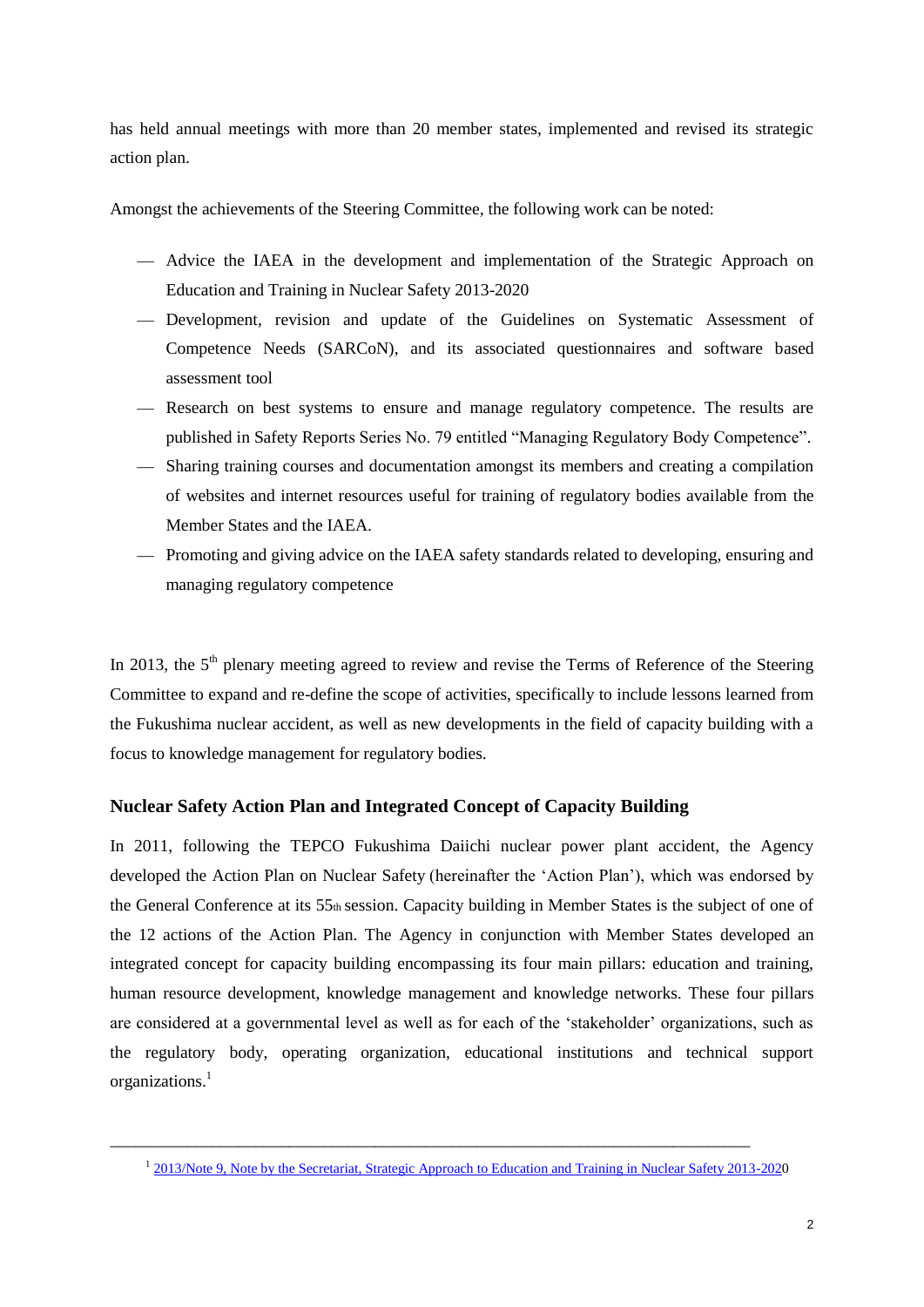has held annual meetings with more than 20 member states, implemented and revised its strategic action plan.

Amongst the achievements of the Steering Committee, the following work can be noted:

- Advice the IAEA in the development and implementation of the Strategic Approach on Education and Training in Nuclear Safety 2013-2020
- Development, revision and update of the Guidelines on Systematic Assessment of Competence Needs (SARCoN), and its associated questionnaires and software based assessment tool
- Research on best systems to ensure and manage regulatory competence. The results are published in Safety Reports Series No. 79 entitled "Managing Regulatory Body Competence".
- Sharing training courses and documentation amongst its members and creating a compilation of websites and internet resources useful for training of regulatory bodies available from the Member States and the IAEA.
- Promoting and giving advice on the IAEA safety standards related to developing, ensuring and managing regulatory competence

In 2013, the  $5<sup>th</sup>$  plenary meeting agreed to review and revise the Terms of Reference of the Steering Committee to expand and re-define the scope of activities, specifically to include lessons learned from the Fukushima nuclear accident, as well as new developments in the field of capacity building with a focus to knowledge management for regulatory bodies.

### <span id="page-5-0"></span>**Nuclear Safety Action Plan and Integrated Concept of Capacity Building**

In 2011, following the TEPCO Fukushima Daiichi nuclear power plant accident, the Agency developed the Action Plan on Nuclear Safety (hereinafter the 'Action Plan'), which was endorsed by the General Conference at its 55th session. Capacity building in Member States is the subject of one of the 12 actions of the Action Plan. The Agency in conjunction with Member States developed an integrated concept for capacity building encompassing its four main pillars: education and training, human resource development, knowledge management and knowledge networks. These four pillars are considered at a governmental level as well as for each of the 'stakeholder' organizations, such as the regulatory body, operating organization, educational institutions and technical support organizations.<sup>1</sup>

\_\_\_\_\_\_\_\_\_\_\_\_\_\_\_\_\_\_\_\_\_\_\_\_\_\_\_\_\_\_\_\_\_\_\_\_\_\_\_\_\_\_\_\_\_\_\_\_\_\_\_\_\_\_\_\_\_\_\_\_\_\_\_\_\_\_\_\_\_\_\_\_\_\_\_

<sup>&</sup>lt;sup>1</sup> [2013/Note 9, Note by the Secretariat, Strategic Approach to Education and Training in Nuclear Safety 2013-2020](http://www-ns.iaea.org/downloads/ni/training/strategy2013-2020.pdf)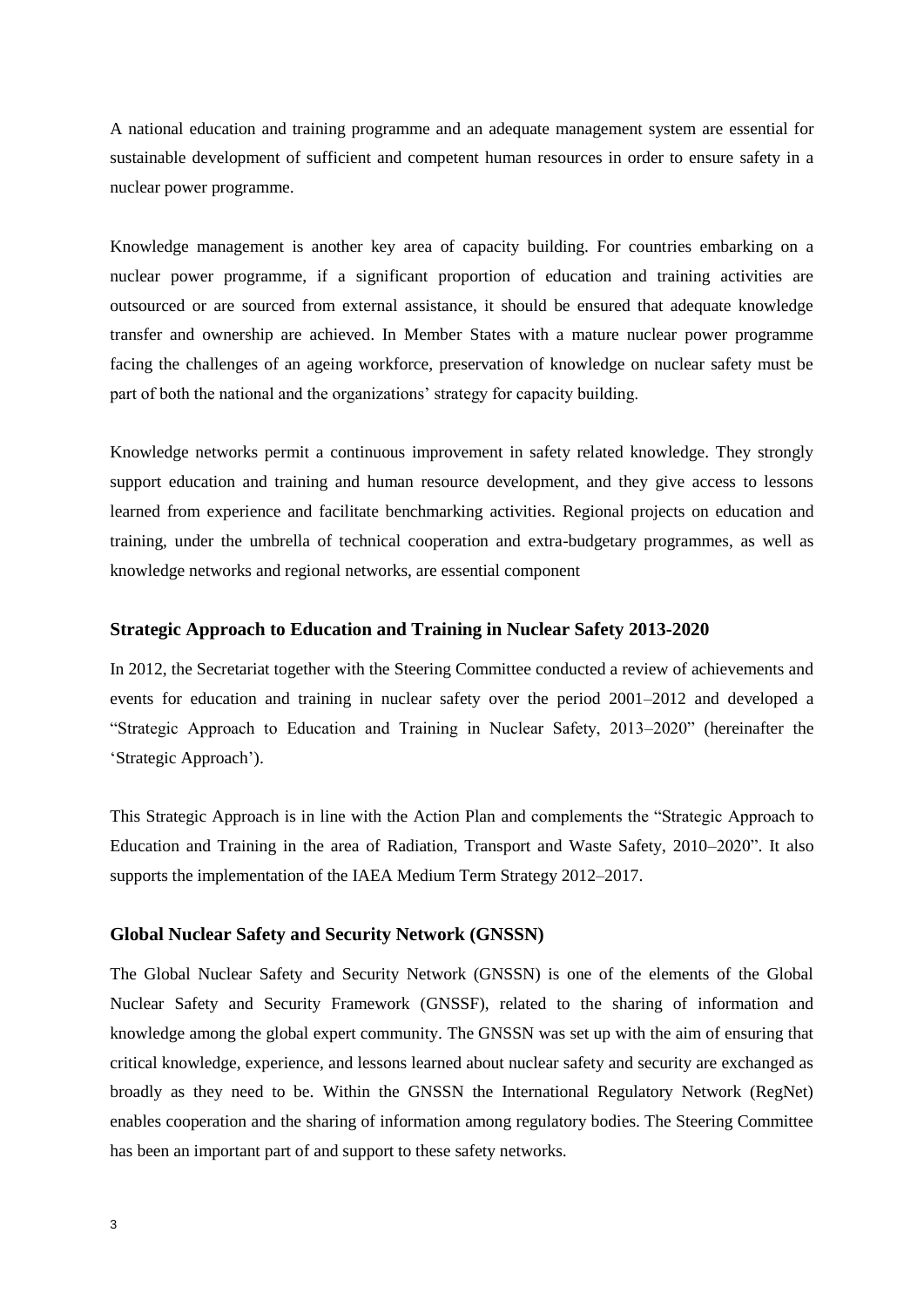A national education and training programme and an adequate management system are essential for sustainable development of sufficient and competent human resources in order to ensure safety in a nuclear power programme.

Knowledge management is another key area of capacity building. For countries embarking on a nuclear power programme, if a significant proportion of education and training activities are outsourced or are sourced from external assistance, it should be ensured that adequate knowledge transfer and ownership are achieved. In Member States with a mature nuclear power programme facing the challenges of an ageing workforce, preservation of knowledge on nuclear safety must be part of both the national and the organizations' strategy for capacity building.

Knowledge networks permit a continuous improvement in safety related knowledge. They strongly support education and training and human resource development, and they give access to lessons learned from experience and facilitate benchmarking activities. Regional projects on education and training, under the umbrella of technical cooperation and extra-budgetary programmes, as well as knowledge networks and regional networks, are essential component

#### <span id="page-6-0"></span>**Strategic Approach to Education and Training in Nuclear Safety 2013-2020**

In 2012, the Secretariat together with the Steering Committee conducted a review of achievements and events for education and training in nuclear safety over the period 2001–2012 and developed a "Strategic Approach to Education and Training in Nuclear Safety, 2013–2020" (hereinafter the 'Strategic Approach').

This Strategic Approach is in line with the Action Plan and complements the "Strategic Approach to Education and Training in the area of Radiation, Transport and Waste Safety, 2010–2020". It also supports the implementation of the IAEA Medium Term Strategy 2012–2017.

#### <span id="page-6-1"></span>**Global Nuclear Safety and Security Network (GNSSN)**

The Global Nuclear Safety and Security Network (GNSSN) is one of the elements of the Global Nuclear Safety and Security Framework (GNSSF), related to the sharing of information and knowledge among the global expert community. The GNSSN was set up with the aim of ensuring that critical knowledge, experience, and lessons learned about nuclear safety and security are exchanged as broadly as they need to be. Within the GNSSN the International Regulatory Network (RegNet) enables cooperation and the sharing of information among regulatory bodies. The Steering Committee has been an important part of and support to these safety networks.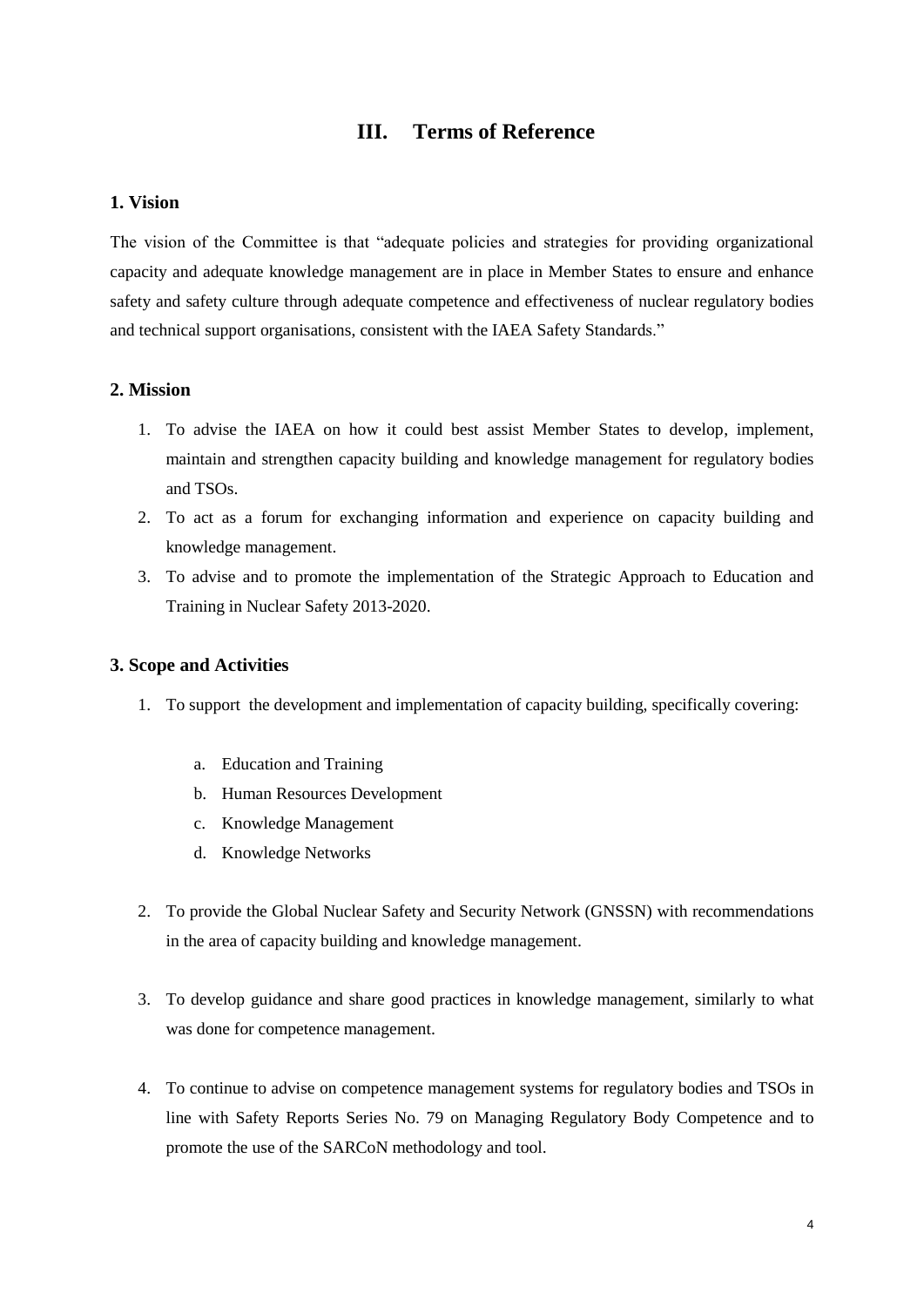## **III. Terms of Reference**

#### <span id="page-7-1"></span><span id="page-7-0"></span>**1. Vision**

The vision of the Committee is that "adequate policies and strategies for providing organizational capacity and adequate knowledge management are in place in Member States to ensure and enhance safety and safety culture through adequate competence and effectiveness of nuclear regulatory bodies and technical support organisations, consistent with the IAEA Safety Standards."

### <span id="page-7-2"></span>**2. Mission**

- 1. To advise the IAEA on how it could best assist Member States to develop, implement, maintain and strengthen capacity building and knowledge management for regulatory bodies and TSOs.
- 2. To act as a forum for exchanging information and experience on capacity building and knowledge management.
- 3. To advise and to promote the implementation of the Strategic Approach to Education and Training in Nuclear Safety 2013-2020.

### <span id="page-7-3"></span>**3. Scope and Activities**

- 1. To support the development and implementation of capacity building, specifically covering:
	- a. Education and Training
	- b. Human Resources Development
	- c. Knowledge Management
	- d. Knowledge Networks
- 2. To provide the Global Nuclear Safety and Security Network (GNSSN) with recommendations in the area of capacity building and knowledge management.
- 3. To develop guidance and share good practices in knowledge management, similarly to what was done for competence management.
- 4. To continue to advise on competence management systems for regulatory bodies and TSOs in line with Safety Reports Series No. 79 on Managing Regulatory Body Competence and to promote the use of the SARCoN methodology and tool.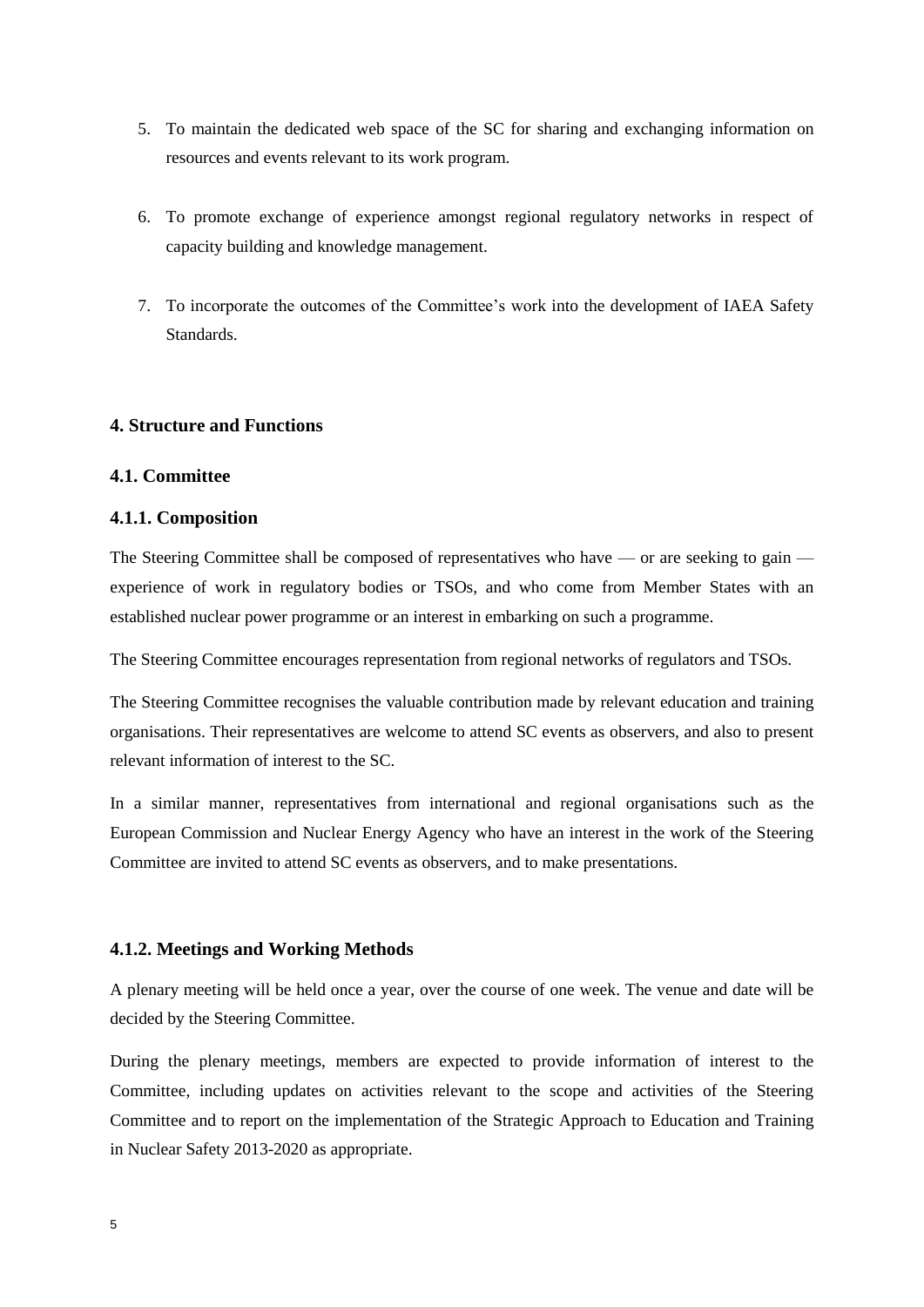- 5. To maintain the dedicated web space of the SC for sharing and exchanging information on resources and events relevant to its work program.
- 6. To promote exchange of experience amongst regional regulatory networks in respect of capacity building and knowledge management.
- 7. To incorporate the outcomes of the Committee's work into the development of IAEA Safety Standards.

### <span id="page-8-0"></span>**4. Structure and Functions**

### <span id="page-8-1"></span>**4.1. Committee**

#### **4.1.1. Composition**

The Steering Committee shall be composed of representatives who have — or are seeking to gain experience of work in regulatory bodies or TSOs, and who come from Member States with an established nuclear power programme or an interest in embarking on such a programme.

The Steering Committee encourages representation from regional networks of regulators and TSOs.

The Steering Committee recognises the valuable contribution made by relevant education and training organisations. Their representatives are welcome to attend SC events as observers, and also to present relevant information of interest to the SC.

In a similar manner, representatives from international and regional organisations such as the European Commission and Nuclear Energy Agency who have an interest in the work of the Steering Committee are invited to attend SC events as observers, and to make presentations.

### **4.1.2. Meetings and Working Methods**

A plenary meeting will be held once a year, over the course of one week. The venue and date will be decided by the Steering Committee.

During the plenary meetings, members are expected to provide information of interest to the Committee, including updates on activities relevant to the scope and activities of the Steering Committee and to report on the implementation of the Strategic Approach to Education and Training in Nuclear Safety 2013-2020 as appropriate.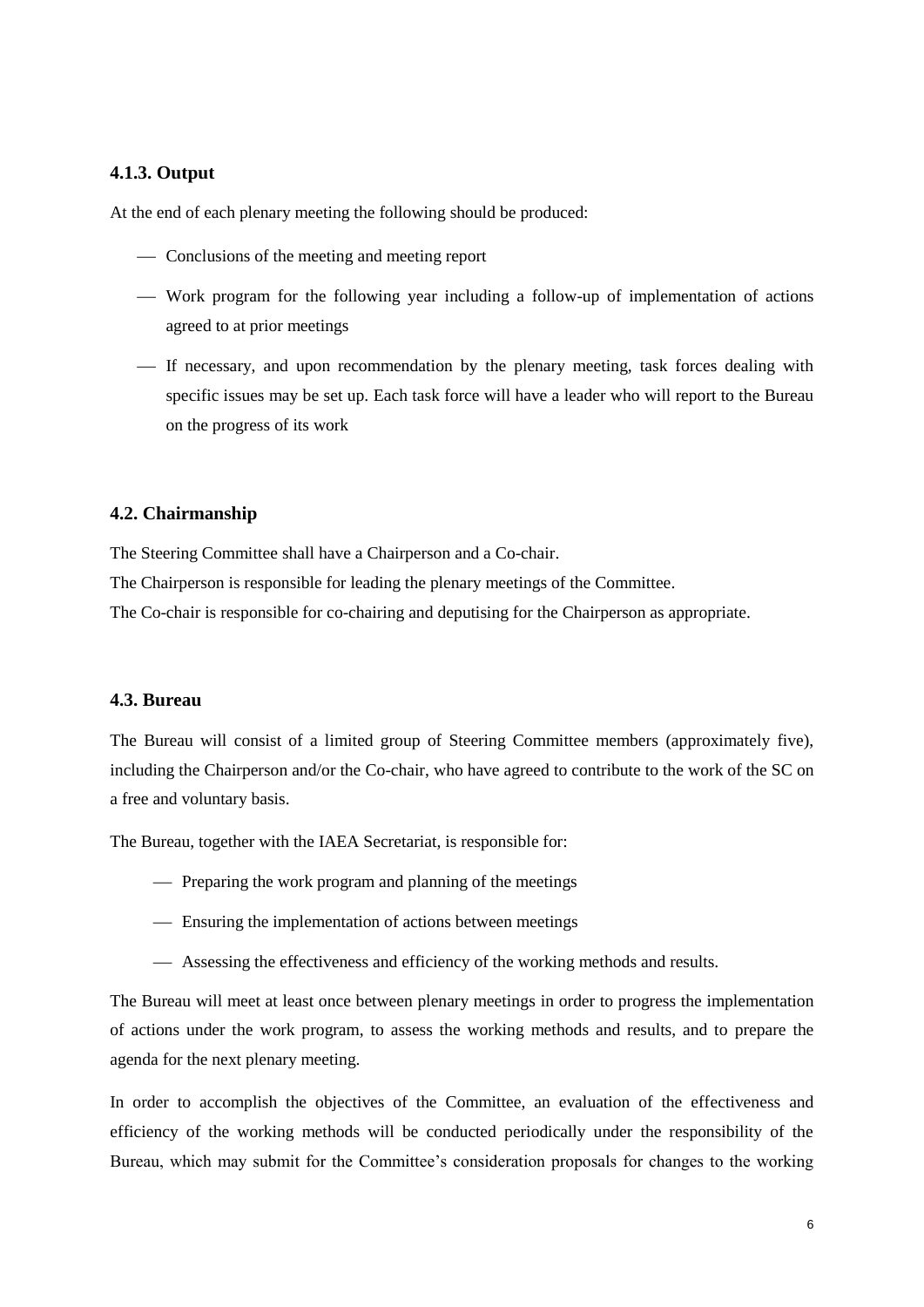#### **4.1.3. Output**

At the end of each plenary meeting the following should be produced:

- Conclusions of the meeting and meeting report
- Work program for the following year including a follow-up of implementation of actions agreed to at prior meetings
- If necessary, and upon recommendation by the plenary meeting, task forces dealing with specific issues may be set up. Each task force will have a leader who will report to the Bureau on the progress of its work

#### <span id="page-9-0"></span>**4.2. Chairmanship**

The Steering Committee shall have a Chairperson and a Co-chair.

The Chairperson is responsible for leading the plenary meetings of the Committee.

The Co-chair is responsible for co-chairing and deputising for the Chairperson as appropriate.

#### <span id="page-9-1"></span>**4.3. Bureau**

The Bureau will consist of a limited group of Steering Committee members (approximately five), including the Chairperson and/or the Co-chair, who have agreed to contribute to the work of the SC on a free and voluntary basis.

The Bureau, together with the IAEA Secretariat, is responsible for:

- Preparing the work program and planning of the meetings
- Ensuring the implementation of actions between meetings
- Assessing the effectiveness and efficiency of the working methods and results.

The Bureau will meet at least once between plenary meetings in order to progress the implementation of actions under the work program, to assess the working methods and results, and to prepare the agenda for the next plenary meeting.

In order to accomplish the objectives of the Committee, an evaluation of the effectiveness and efficiency of the working methods will be conducted periodically under the responsibility of the Bureau, which may submit for the Committee's consideration proposals for changes to the working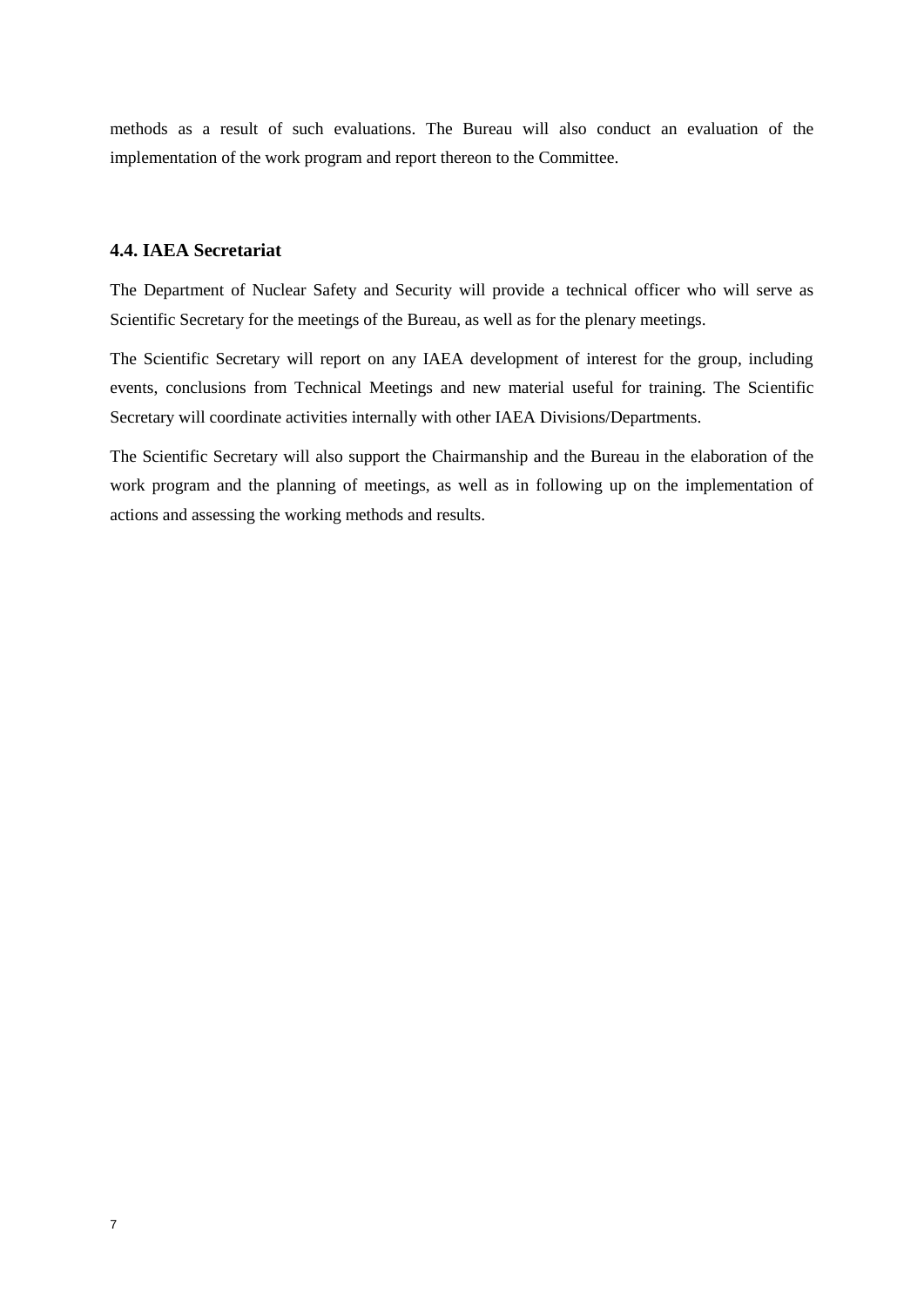methods as a result of such evaluations. The Bureau will also conduct an evaluation of the implementation of the work program and report thereon to the Committee.

#### <span id="page-10-0"></span>**4.4. IAEA Secretariat**

The Department of Nuclear Safety and Security will provide a technical officer who will serve as Scientific Secretary for the meetings of the Bureau, as well as for the plenary meetings.

The Scientific Secretary will report on any IAEA development of interest for the group, including events, conclusions from Technical Meetings and new material useful for training. The Scientific Secretary will coordinate activities internally with other IAEA Divisions/Departments.

The Scientific Secretary will also support the Chairmanship and the Bureau in the elaboration of the work program and the planning of meetings, as well as in following up on the implementation of actions and assessing the working methods and results.